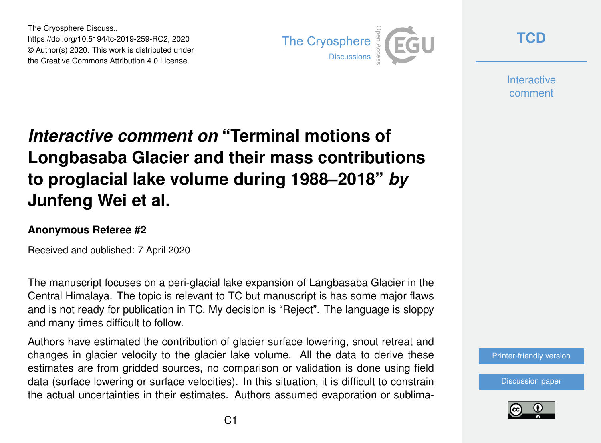The Cryosphere Discuss., https://doi.org/10.5194/tc-2019-259-RC2, 2020 © Author(s) 2020. This work is distributed under the Creative Commons Attribution 4.0 License.



**[TCD](https://www.the-cryosphere-discuss.net/)**

**Interactive** comment

## *Interactive comment on* **"Terminal motions of Longbasaba Glacier and their mass contributions to proglacial lake volume during 1988–2018"** *by* **Junfeng Wei et al.**

## **Anonymous Referee #2**

Received and published: 7 April 2020

The manuscript focuses on a peri-glacial lake expansion of Langbasaba Glacier in the Central Himalaya. The topic is relevant to TC but manuscript is has some major flaws and is not ready for publication in TC. My decision is "Reject". The language is sloppy and many times difficult to follow.

Authors have estimated the contribution of glacier surface lowering, snout retreat and changes in glacier velocity to the glacier lake volume. All the data to derive these estimates are from gridded sources, no comparison or validation is done using field data (surface lowering or surface velocities). In this situation, it is difficult to constrain the actual uncertainties in their estimates. Authors assumed evaporation or sublima-

[Discussion paper](https://www.the-cryosphere-discuss.net/tc-2019-259)

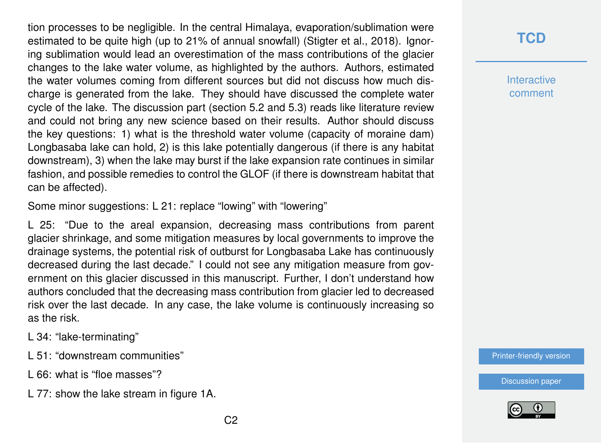tion processes to be negligible. In the central Himalaya, evaporation/sublimation were estimated to be quite high (up to 21% of annual snowfall) (Stigter et al., 2018). Ignoring sublimation would lead an overestimation of the mass contributions of the glacier changes to the lake water volume, as highlighted by the authors. Authors, estimated the water volumes coming from different sources but did not discuss how much discharge is generated from the lake. They should have discussed the complete water cycle of the lake. The discussion part (section 5.2 and 5.3) reads like literature review and could not bring any new science based on their results. Author should discuss the key questions: 1) what is the threshold water volume (capacity of moraine dam) Longbasaba lake can hold, 2) is this lake potentially dangerous (if there is any habitat downstream), 3) when the lake may burst if the lake expansion rate continues in similar fashion, and possible remedies to control the GLOF (if there is downstream habitat that can be affected).

Some minor suggestions: L 21: replace "lowing" with "lowering"

L 25: "Due to the areal expansion, decreasing mass contributions from parent glacier shrinkage, and some mitigation measures by local governments to improve the drainage systems, the potential risk of outburst for Longbasaba Lake has continuously decreased during the last decade." I could not see any mitigation measure from government on this glacier discussed in this manuscript. Further, I don't understand how authors concluded that the decreasing mass contribution from glacier led to decreased risk over the last decade. In any case, the lake volume is continuously increasing so as the risk.

L 34: "lake-terminating"

- L 51: "downstream communities"
- L 66: what is "floe masses"?
- L 77: show the lake stream in figure 1A.

**Interactive** comment

[Printer-friendly version](https://www.the-cryosphere-discuss.net/tc-2019-259/tc-2019-259-RC2-print.pdf)

[Discussion paper](https://www.the-cryosphere-discuss.net/tc-2019-259)

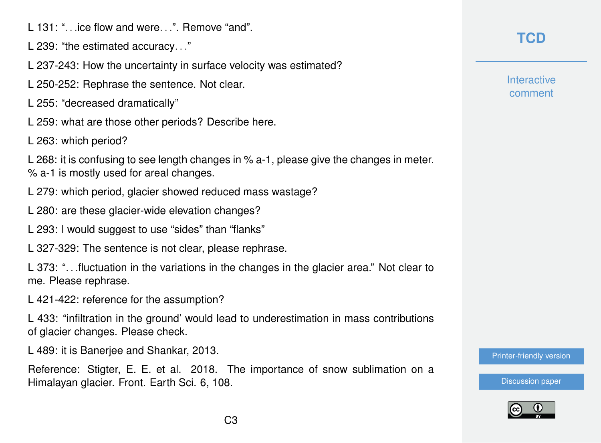L 131: ". .ice flow and were. ". Remove "and".

L 239: "the estimated accuracy. . ."

L 237-243: How the uncertainty in surface velocity was estimated?

L 250-252: Rephrase the sentence. Not clear.

L 255: "decreased dramatically"

L 259: what are those other periods? Describe here.

L 263: which period?

L 268: it is confusing to see length changes in % a-1, please give the changes in meter. % a-1 is mostly used for areal changes.

L 279: which period, glacier showed reduced mass wastage?

L 280: are these glacier-wide elevation changes?

L 293: I would suggest to use "sides" than "flanks"

L 327-329: The sentence is not clear, please rephrase.

L 373: ". . .fluctuation in the variations in the changes in the glacier area." Not clear to me. Please rephrase.

L 421-422: reference for the assumption?

L 433: "infiltration in the ground' would lead to underestimation in mass contributions of glacier changes. Please check.

L 489: it is Banerjee and Shankar, 2013.

Reference: Stigter, E. E. et al. 2018. The importance of snow sublimation on a Himalayan glacier. Front. Earth Sci. 6, 108.

## **[TCD](https://www.the-cryosphere-discuss.net/)**

**Interactive** comment

[Printer-friendly version](https://www.the-cryosphere-discuss.net/tc-2019-259/tc-2019-259-RC2-print.pdf)

[Discussion paper](https://www.the-cryosphere-discuss.net/tc-2019-259)